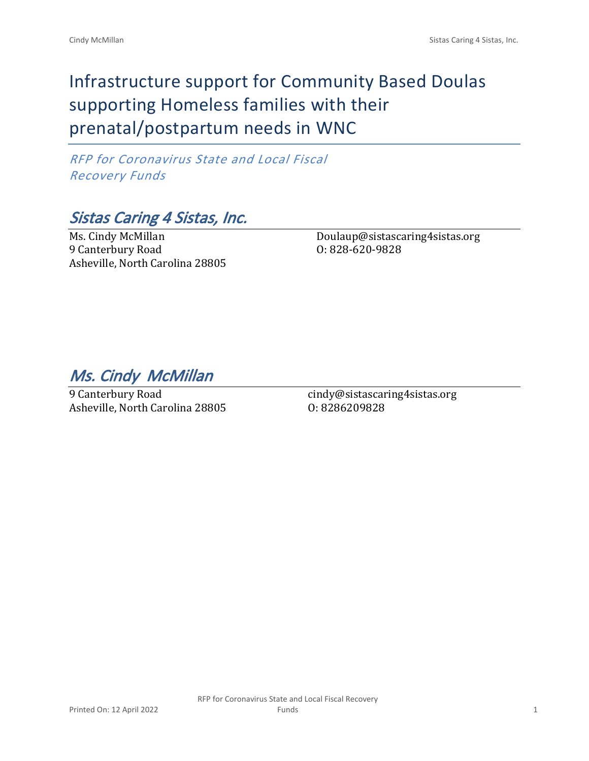# Infrastructure support for Community Based Doulas supporting Homeless families with their prenatal/postpartum needs in WNC

*RFP for Coronavirus State and Local Fiscal Recovery Funds*

*Sistas Caring 4 Sistas, Inc.*

Ms. Cindy McMillan 9 Canterbury Road Asheville, North Carolina 28805

Doulaup@sistascaring4sistas.org O: 828-620-9828

*Ms. Cindy McMillan* 

9 Canterbury Road Asheville, North Carolina 28805

cindy@sistascaring4sistas.org O: 8286209828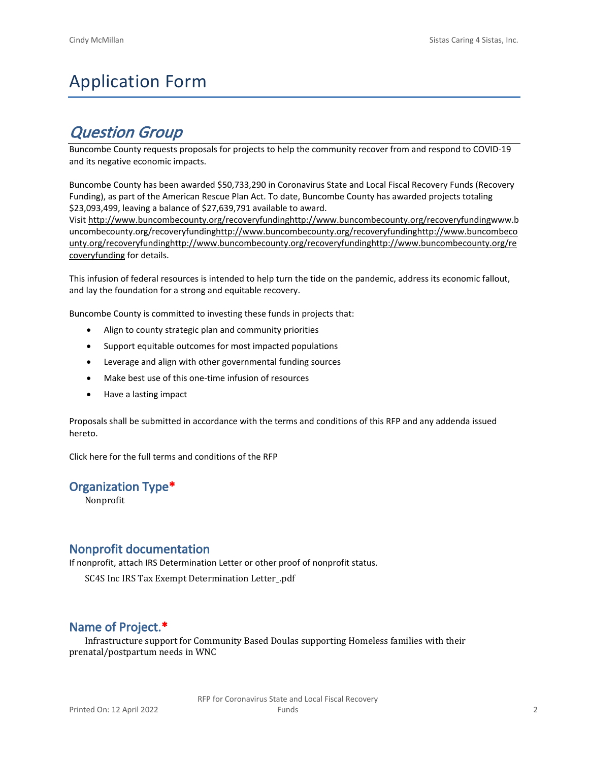# Application Form

## *Question Group*

Buncombe County requests proposals for projects to help the community recover from and respond to COVID-19 and its negative economic impacts.

Buncombe County has been awarded \$50,733,290 in Coronavirus State and Local Fiscal Recovery Funds (Recovery Funding), as part of the American Rescue Plan Act. To date, Buncombe County has awarded projects totaling \$23,093,499, leaving a balance of \$27,639,791 available to award.

Visit [http://www.buncombecounty.org/recoveryfundinghttp://www.buncombecounty.org/recoveryfundingwww.b](http://www.buncombecounty.org/recoveryfunding) [uncombecounty.org/recoveryfundinghttp://www.buncombecounty.org/recoveryfundinghttp://www.buncombeco](http://www.buncombecounty.org/recoveryfunding) [unty.org/recoveryfundinghttp://www.buncombecounty.org/recoveryfundinghttp://www.buncombecounty.org/re](http://www.buncombecounty.org/recoveryfunding) [coveryfunding](http://www.buncombecounty.org/recoveryfunding) for details.

This infusion of federal resources is intended to help turn the tide on the pandemic, address its economic fallout, and lay the foundation for a strong and equitable recovery.

Buncombe County is committed to investing these funds in projects that:

- Align to county strategic plan and community priorities
- Support equitable outcomes for most impacted populations
- Leverage and align with other governmental funding sources
- Make best use of this one-time infusion of resources
- Have a lasting impact

Proposals shall be submitted in accordance with the terms and conditions of this RFP and any addenda issued hereto.

Click [here](https://www.buncombecounty.org/common/purchasing/Buncombe%20Recovery%20Funding%20RFP%202022.pdf) for the full terms and conditions of the RFP

## **Organization Type\***

Nonprofit

## **Nonprofit documentation**

If nonprofit, attach IRS Determination Letter or other proof of nonprofit status.

SC4S Inc IRS Tax Exempt Determination Letter\_.pdf

## **Name of Project.\***

Infrastructure support for Community Based Doulas supporting Homeless families with their prenatal/postpartum needs in WNC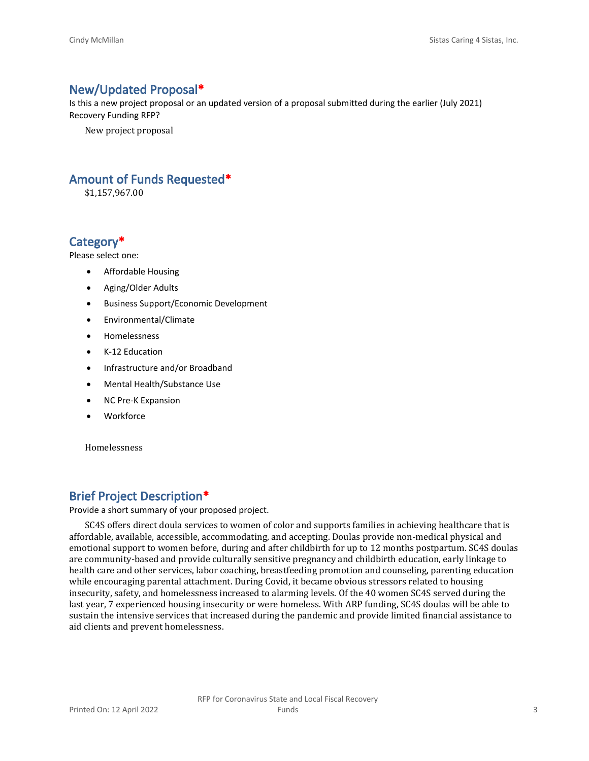## **New/Updated Proposal\***

Is this a new project proposal or an updated version of a proposal submitted during the earlier (July 2021) Recovery Funding RFP?

New project proposal

## **Amount of Funds Requested\***

\$1,157,967.00

## **Category\***

Please select one:

- Affordable Housing
- Aging/Older Adults
- Business Support/Economic Development
- Environmental/Climate
- Homelessness
- K-12 Education
- Infrastructure and/or Broadband
- Mental Health/Substance Use
- NC Pre-K Expansion
- **Workforce**

Homelessness

## **Brief Project Description\***

Provide a short summary of your proposed project.

SC4S offers direct doula services to women of color and supports families in achieving healthcare that is affordable, available, accessible, accommodating, and accepting. Doulas provide non-medical physical and emotional support to women before, during and after childbirth for up to 12 months postpartum. SC4S doulas are community-based and provide culturally sensitive pregnancy and childbirth education, early linkage to health care and other services, labor coaching, breastfeeding promotion and counseling, parenting education while encouraging parental attachment. During Covid, it became obvious stressors related to housing insecurity, safety, and homelessness increased to alarming levels. Of the 40 women SC4S served during the last year, 7 experienced housing insecurity or were homeless. With ARP funding, SC4S doulas will be able to sustain the intensive services that increased during the pandemic and provide limited financial assistance to aid clients and prevent homelessness.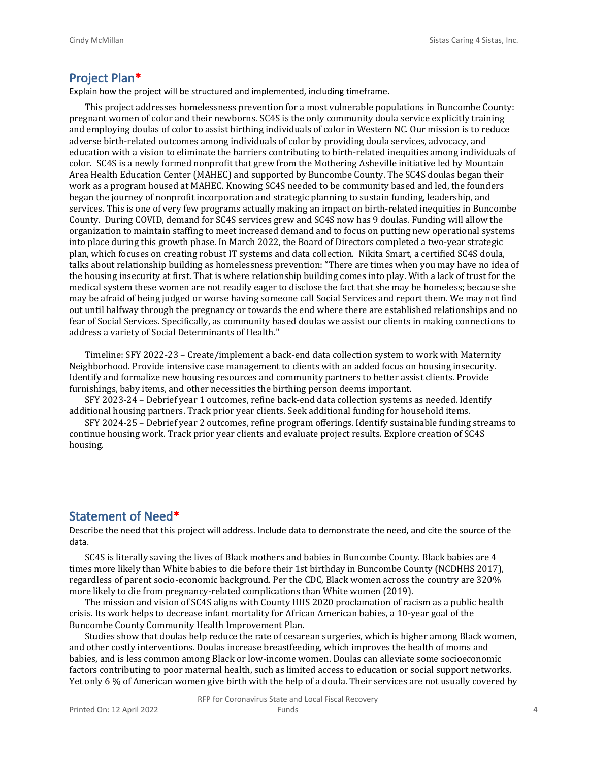#### **Project Plan\***

Explain how the project will be structured and implemented, including timeframe.

This project addresses homelessness prevention for a most vulnerable populations in Buncombe County: pregnant women of color and their newborns. SC4S is the only community doula service explicitly training and employing doulas of color to assist birthing individuals of color in Western NC. Our mission is to reduce adverse birth-related outcomes among individuals of color by providing doula services, advocacy, and education with a vision to eliminate the barriers contributing to birth-related inequities among individuals of color. SC4S is a newly formed nonprofit that grew from the Mothering Asheville initiative led by Mountain Area Health Education Center (MAHEC) and supported by Buncombe County. The SC4S doulas began their work as a program housed at MAHEC. Knowing SC4S needed to be community based and led, the founders began the journey of nonprofit incorporation and strategic planning to sustain funding, leadership, and services. This is one of very few programs actually making an impact on birth-related inequities in Buncombe County. During COVID, demand for SC4S services grew and SC4S now has 9 doulas. Funding will allow the organization to maintain staffing to meet increased demand and to focus on putting new operational systems into place during this growth phase. In March 2022, the Board of Directors completed a two-year strategic plan, which focuses on creating robust IT systems and data collection. Nikita Smart, a certified SC4S doula, talks about relationship building as homelessness prevention: "There are times when you may have no idea of the housing insecurity at first. That is where relationship building comes into play. With a lack of trust for the medical system these women are not readily eager to disclose the fact that she may be homeless; because she may be afraid of being judged or worse having someone call Social Services and report them. We may not find out until halfway through the pregnancy or towards the end where there are established relationships and no fear of Social Services. Specifically, as community based doulas we assist our clients in making connections to address a variety of Social Determinants of Health."

Timeline: SFY 2022-23 – Create/implement a back-end data collection system to work with Maternity Neighborhood. Provide intensive case management to clients with an added focus on housing insecurity. Identify and formalize new housing resources and community partners to better assist clients. Provide furnishings, baby items, and other necessities the birthing person deems important.

SFY 2023-24 – Debrief year 1 outcomes, refine back-end data collection systems as needed. Identify additional housing partners. Track prior year clients. Seek additional funding for household items.

SFY 2024-25 – Debrief year 2 outcomes, refine program offerings. Identify sustainable funding streams to continue housing work. Track prior year clients and evaluate project results. Explore creation of SC4S housing.

## **Statement of Need\***

Describe the need that this project will address. Include data to demonstrate the need, and cite the source of the data.

SC4S is literally saving the lives of Black mothers and babies in Buncombe County. Black babies are 4 times more likely than White babies to die before their 1st birthday in Buncombe County (NCDHHS 2017), regardless of parent socio-economic background. Per the CDC, Black women across the country are 320% more likely to die from pregnancy-related complications than White women (2019).

The mission and vision of SC4S aligns with County HHS 2020 proclamation of racism as a public health crisis. Its work helps to decrease infant mortality for African American babies, a 10-year goal of the Buncombe County Community Health Improvement Plan.

Studies show that doulas help reduce the rate of cesarean surgeries, which is higher among Black women, and other costly interventions. Doulas increase breastfeeding, which improves the health of moms and babies, and is less common among Black or low-income women. Doulas can alleviate some socioeconomic factors contributing to poor maternal health, such as limited access to education or social support networks. Yet only 6 % of American women give birth with the help of a doula. Their services are not usually covered by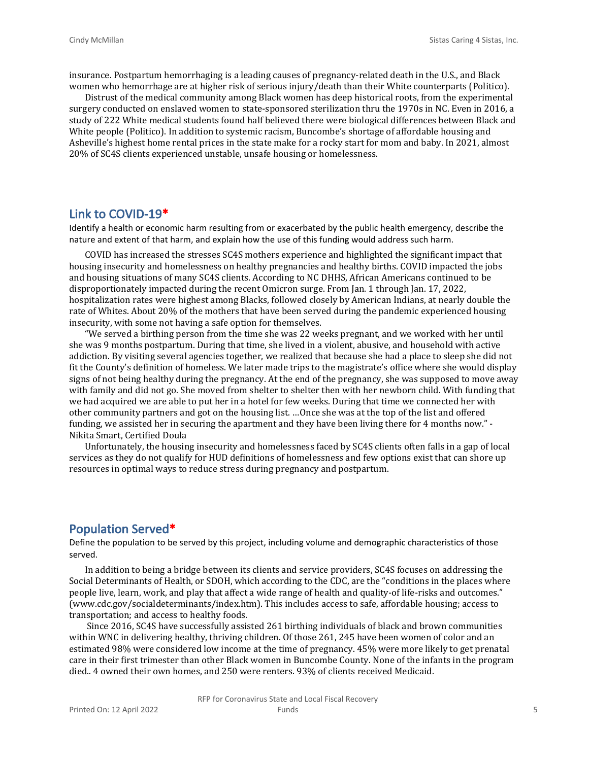insurance. Postpartum hemorrhaging is a leading causes of pregnancy-related death in the U.S., and Black women who hemorrhage are at higher risk of serious injury/death than their White counterparts (Politico).

Distrust of the medical community among Black women has deep historical roots, from the experimental surgery conducted on enslaved women to state-sponsored sterilization thru the 1970s in NC. Even in 2016, a study of 222 White medical students found half believed there were biological differences between Black and White people (Politico). In addition to systemic racism, Buncombe's shortage of affordable housing and Asheville's highest home rental prices in the state make for a rocky start for mom and baby. In 2021, almost 20% of SC4S clients experienced unstable, unsafe housing or homelessness.

#### **Link to COVID-19\***

Identify a health or economic harm resulting from or exacerbated by the public health emergency, describe the nature and extent of that harm, and explain how the use of this funding would address such harm.

COVID has increased the stresses SC4S mothers experience and highlighted the significant impact that housing insecurity and homelessness on healthy pregnancies and healthy births. COVID impacted the jobs and housing situations of many SC4S clients. According to NC DHHS, African Americans continued to be disproportionately impacted during the recent Omicron surge. From Jan. 1 through Jan. 17, 2022, hospitalization rates were highest among Blacks, followed closely by American Indians, at nearly double the rate of Whites. About 20% of the mothers that have been served during the pandemic experienced housing insecurity, with some not having a safe option for themselves.

"We served a birthing person from the time she was 22 weeks pregnant, and we worked with her until she was 9 months postpartum. During that time, she lived in a violent, abusive, and household with active addiction. By visiting several agencies together, we realized that because she had a place to sleep she did not fit the County's definition of homeless. We later made trips to the magistrate's office where she would display signs of not being healthy during the pregnancy. At the end of the pregnancy, she was supposed to move away with family and did not go. She moved from shelter to shelter then with her newborn child. With funding that we had acquired we are able to put her in a hotel for few weeks. During that time we connected her with other community partners and got on the housing list. …Once she was at the top of the list and offered funding, we assisted her in securing the apartment and they have been living there for 4 months now." - Nikita Smart, Certified Doula

Unfortunately, the housing insecurity and homelessness faced by SC4S clients often falls in a gap of local services as they do not qualify for HUD definitions of homelessness and few options exist that can shore up resources in optimal ways to reduce stress during pregnancy and postpartum.

#### **Population Served\***

Define the population to be served by this project, including volume and demographic characteristics of those served.

In addition to being a bridge between its clients and service providers, SC4S focuses on addressing the Social Determinants of Health, or SDOH, which according to the CDC, are the "conditions in the places where people live, learn, work, and play that affect a wide range of health and quality-of life-risks and outcomes." (www.cdc.gov/socialdeterminants/index.htm). This includes access to safe, affordable housing; access to transportation; and access to healthy foods.

 Since 2016, SC4S have successfully assisted 261 birthing individuals of black and brown communities within WNC in delivering healthy, thriving children. Of those 261, 245 have been women of color and an estimated 98% were considered low income at the time of pregnancy. 45% were more likely to get prenatal care in their first trimester than other Black women in Buncombe County. None of the infants in the program died.. 4 owned their own homes, and 250 were renters. 93% of clients received Medicaid.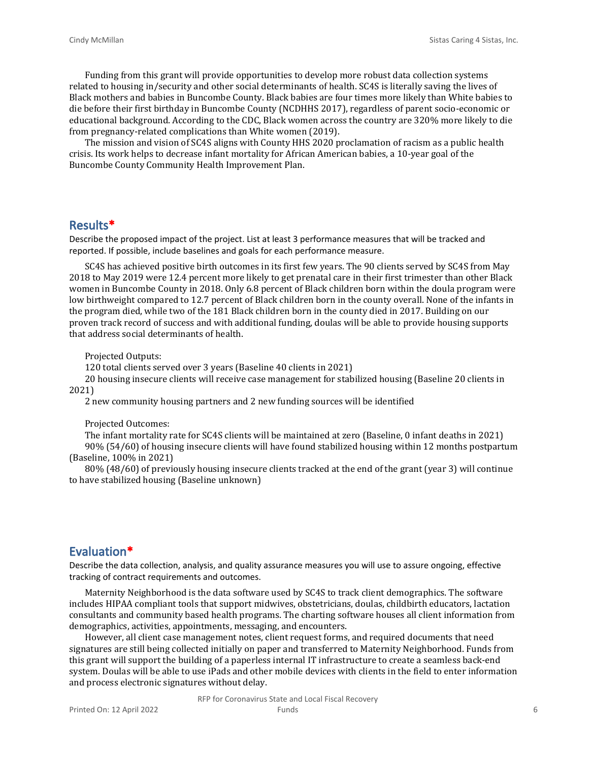Funding from this grant will provide opportunities to develop more robust data collection systems related to housing in/security and other social determinants of health. SC4S is literally saving the lives of Black mothers and babies in Buncombe County. Black babies are four times more likely than White babies to die before their first birthday in Buncombe County (NCDHHS 2017), regardless of parent socio-economic or educational background. According to the CDC, Black women across the country are 320% more likely to die from pregnancy-related complications than White women (2019).

The mission and vision of SC4S aligns with County HHS 2020 proclamation of racism as a public health crisis. Its work helps to decrease infant mortality for African American babies, a 10-year goal of the Buncombe County Community Health Improvement Plan.

#### **Results\***

Describe the proposed impact of the project. List at least 3 performance measures that will be tracked and reported. If possible, include baselines and goals for each performance measure.

SC4S has achieved positive birth outcomes in its first few years. The 90 clients served by SC4S from May 2018 to May 2019 were 12.4 percent more likely to get prenatal care in their first trimester than other Black women in Buncombe County in 2018. Only 6.8 percent of Black children born within the doula program were low birthweight compared to 12.7 percent of Black children born in the county overall. None of the infants in the program died, while two of the 181 Black children born in the county died in 2017. Building on our proven track record of success and with additional funding, doulas will be able to provide housing supports that address social determinants of health.

Projected Outputs:

120 total clients served over 3 years (Baseline 40 clients in 2021)

20 housing insecure clients will receive case management for stabilized housing (Baseline 20 clients in 2021)

2 new community housing partners and 2 new funding sources will be identified

Projected Outcomes:

The infant mortality rate for SC4S clients will be maintained at zero (Baseline, 0 infant deaths in 2021) 90% (54/60) of housing insecure clients will have found stabilized housing within 12 months postpartum (Baseline, 100% in 2021)

80% (48/60) of previously housing insecure clients tracked at the end of the grant (year 3) will continue to have stabilized housing (Baseline unknown)

#### **Evaluation\***

Describe the data collection, analysis, and quality assurance measures you will use to assure ongoing, effective tracking of contract requirements and outcomes.

Maternity Neighborhood is the data software used by SC4S to track client demographics. The software includes HIPAA compliant tools that support midwives, obstetricians, doulas, childbirth educators, lactation consultants and community based health programs. The charting software houses all client information from demographics, activities, appointments, messaging, and encounters.

However, all client case management notes, client request forms, and required documents that need signatures are still being collected initially on paper and transferred to Maternity Neighborhood. Funds from this grant will support the building of a paperless internal IT infrastructure to create a seamless back-end system. Doulas will be able to use iPads and other mobile devices with clients in the field to enter information and process electronic signatures without delay.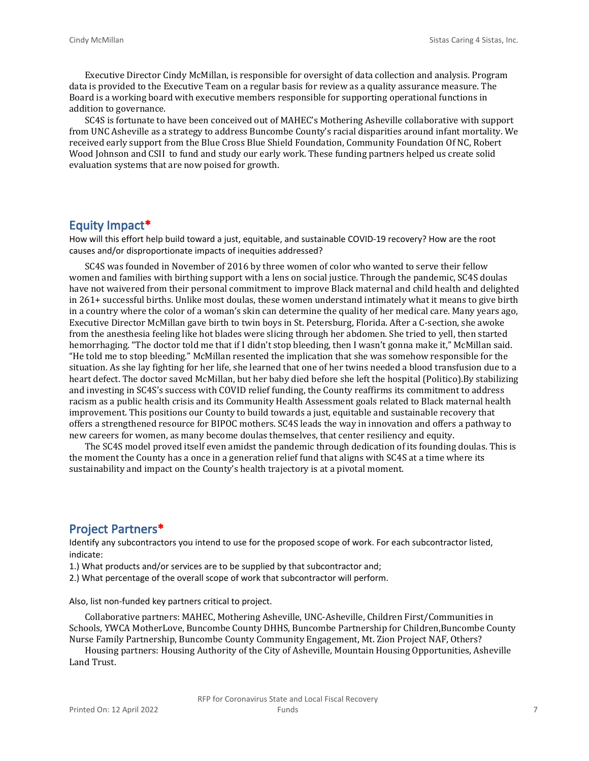Executive Director Cindy McMillan, is responsible for oversight of data collection and analysis. Program data is provided to the Executive Team on a regular basis for review as a quality assurance measure. The Board is a working board with executive members responsible for supporting operational functions in addition to governance.

SC4S is fortunate to have been conceived out of MAHEC's Mothering Asheville collaborative with support from UNC Asheville as a strategy to address Buncombe County's racial disparities around infant mortality. We received early support from the Blue Cross Blue Shield Foundation, Community Foundation Of NC, Robert Wood Johnson and CSII to fund and study our early work. These funding partners helped us create solid evaluation systems that are now poised for growth.

#### **Equity Impact\***

How will this effort help build toward a just, equitable, and sustainable COVID-19 recovery? How are the root causes and/or disproportionate impacts of inequities addressed?

SC4S was founded in November of 2016 by three women of color who wanted to serve their fellow women and families with birthing support with a lens on social justice. Through the pandemic, SC4S doulas have not waivered from their personal commitment to improve Black maternal and child health and delighted in 261+ successful births. Unlike most doulas, these women understand intimately what it means to give birth in a country where the color of a woman's skin can determine the quality of her medical care. Many years ago, Executive Director McMillan gave birth to twin boys in St. Petersburg, Florida. After a C-section, she awoke from the anesthesia feeling like hot blades were slicing through her abdomen. She tried to yell, then started hemorrhaging. "The doctor told me that if I didn't stop bleeding, then I wasn't gonna make it," McMillan said. "He told me to stop bleeding." McMillan resented the implication that she was somehow responsible for the situation. As she lay fighting for her life, she learned that one of her twins needed a blood transfusion due to a heart defect. The doctor saved McMillan, but her baby died before she left the hospital (Politico).By stabilizing and investing in SC4S's success with COVID relief funding, the County reaffirms its commitment to address racism as a public health crisis and its Community Health Assessment goals related to Black maternal health improvement. This positions our County to build towards a just, equitable and sustainable recovery that offers a strengthened resource for BIPOC mothers. SC4S leads the way in innovation and offers a pathway to new careers for women, as many become doulas themselves, that center resiliency and equity.

The SC4S model proved itself even amidst the pandemic through dedication of its founding doulas. This is the moment the County has a once in a generation relief fund that aligns with SC4S at a time where its sustainability and impact on the County's health trajectory is at a pivotal moment.

#### **Project Partners\***

Identify any subcontractors you intend to use for the proposed scope of work. For each subcontractor listed, indicate:

1.) What products and/or services are to be supplied by that subcontractor and;

2.) What percentage of the overall scope of work that subcontractor will perform.

Also, list non-funded key partners critical to project.

Collaborative partners: MAHEC, Mothering Asheville, UNC-Asheville, Children First/Communities in Schools, YWCA MotherLove, Buncombe County DHHS, Buncombe Partnership for Children,Buncombe County Nurse Family Partnership, Buncombe County Community Engagement, Mt. Zion Project NAF, Others?

Housing partners: Housing Authority of the City of Asheville, Mountain Housing Opportunities, Asheville Land Trust.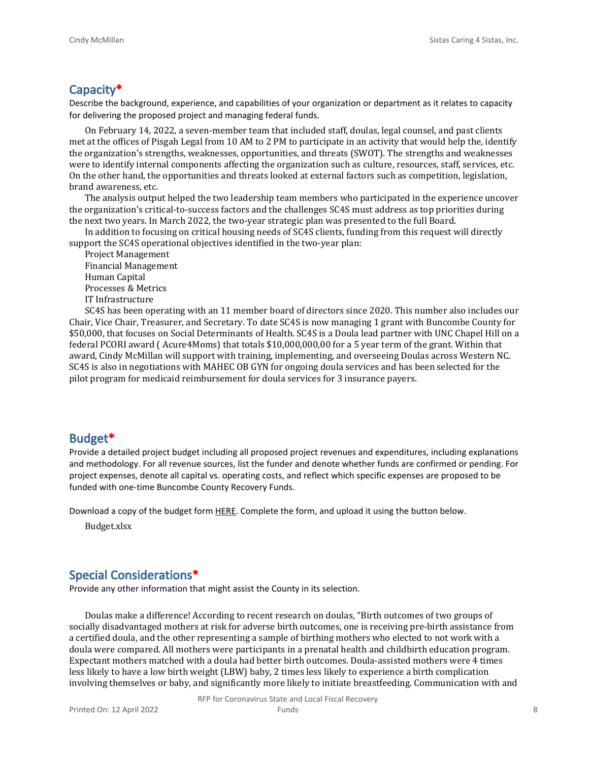### **Capacity\***

Describe the background, experience, and capabilities of your organization or department as it relates to capacity for delivering the proposed project and managing federal funds.

On February 14, 2022, a seven-member team that included staff, doulas, legal counsel, and past clients met at the offices of Pisgah Legal from 10 AM to 2 PM to participate in an activity that would help the, identify the organization's strengths, weaknesses, opportunities, and threats (SWOT). The strengths and weaknesses were to identify internal components affecting the organization such as culture, resources, staff, services, etc. On the other hand, the opportunities and threats looked at external factors such as competition, legislation, brand awareness, etc.

The analysis output helped the two leadership team members who participated in the experience uncover the organization's critical-to-success factors and the challenges SC4S must address as top priorities during the next two years. In March 2022, the two-year strategic plan was presented to the full Board.

In addition to focusing on critical housing needs of SC4S clients, funding from this request will directly support the SC4S operational objectives identified in the two-year plan:

Project Management Financial Management Human Capital Processes & Metrics IT Infrastructure

SC4S has been operating with an 11 member board of directors since 2020. This number also includes our Chair, Vice Chair, Treasurer, and Secretary. To date SC4S is now managing 1 grant with Buncombe County for \$50,000, that focuses on Social Determinants of Health. SC4S is a Doula lead partner with UNC Chapel Hill on a federal PCORI award ( Acure4Moms) that totals \$10,000,000,00 for a 5 year term of the grant. Within that award, Cindy McMillan will support with training, implementing, and overseeing Doulas across Western NC. SC4S is also in negotiations with MAHEC OB GYN for ongoing doula services and has been selected for the pilot program for medicaid reimbursement for doula services for 3 insurance payers.

#### **Budget\***

Provide a detailed project budget including all proposed project revenues and expenditures, including explanations and methodology. For all revenue sources, list the funder and denote whether funds are confirmed or pending. For project expenses, denote all capital vs. operating costs, and reflect which specific expenses are proposed to be funded with one-time Buncombe County Recovery Funds.

Download a copy of the budget form [HERE](https://buncombecounty.org/common/community-investment/grants/early-childhood-education/Recovery-Funds-budget-template.xlsx). Complete the form, and upload it using the button below.

Budget.xlsx

## **Special Considerations\***

Provide any other information that might assist the County in its selection.

Doulas make a difference! According to recent research on doulas, "Birth outcomes of two groups of socially disadvantaged mothers at risk for adverse birth outcomes, one is receiving pre-birth assistance from a certified doula, and the other representing a sample of birthing mothers who elected to not work with a doula were compared. All mothers were participants in a prenatal health and childbirth education program. Expectant mothers matched with a doula had better birth outcomes. Doula-assisted mothers were 4 times less likely to have a low birth weight (LBW) baby, 2 times less likely to experience a birth complication involving themselves or baby, and significantly more likely to initiate breastfeeding. Communication with and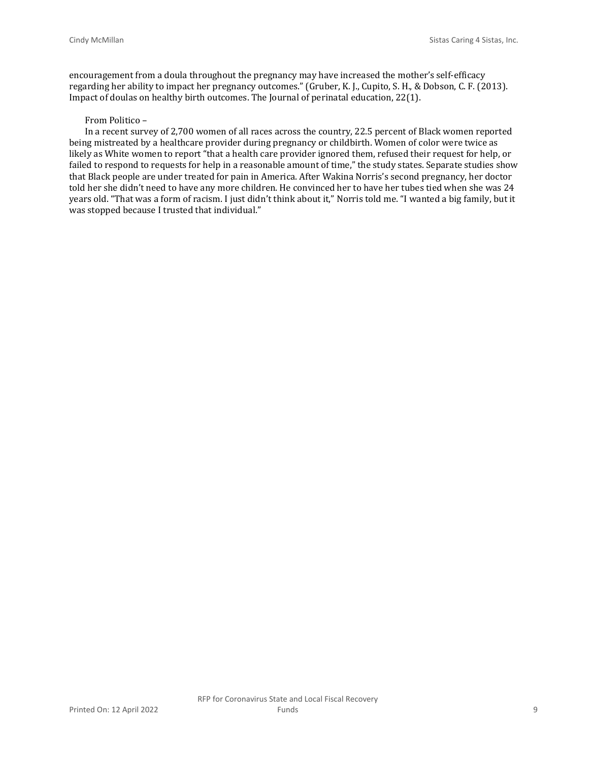encouragement from a doula throughout the pregnancy may have increased the mother's self-efficacy regarding her ability to impact her pregnancy outcomes." (Gruber, K. J., Cupito, S. H., & Dobson, C. F. (2013). Impact of doulas on healthy birth outcomes. The Journal of perinatal education, 22(1).

#### From Politico –

In a recent survey of 2,700 women of all races across the country, 22.5 percent of Black women reported being mistreated by a healthcare provider during pregnancy or childbirth. Women of color were twice as likely as White women to report "that a health care provider ignored them, refused their request for help, or failed to respond to requests for help in a reasonable amount of time," the study states. Separate studies show that Black people are under treated for pain in America. After Wakina Norris's second pregnancy, her doctor told her she didn't need to have any more children. He convinced her to have her tubes tied when she was 24 years old. "That was a form of racism. I just didn't think about it," Norris told me. "I wanted a big family, but it was stopped because I trusted that individual."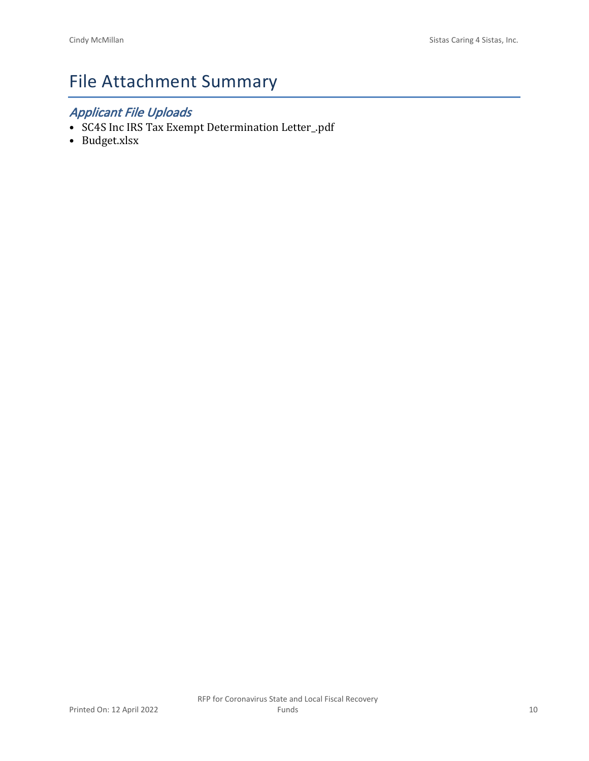## File Attachment Summary

## *Applicant File Uploads*

- SC4S Inc IRS Tax Exempt Determination Letter\_.pdf
- Budget.xlsx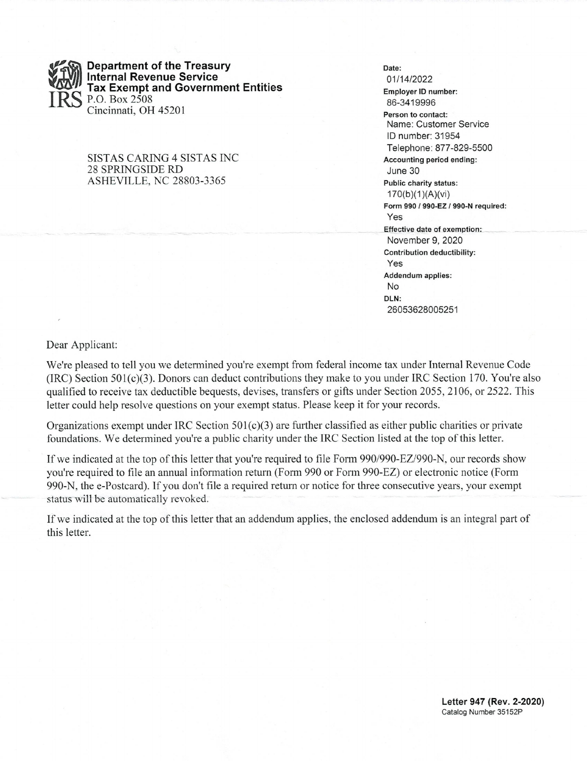

**Department of the Treasury Internal Revenue Service Tax Exempt and Government Entities** P.O. Box 2508 Cincinnati, OH 45201

#### SISTAS CARING 4 SISTAS INC 28 SPRINGSIDE RD **ASHEVILLE, NC 28803-3365**

#### Date: 01/14/2022 Employer ID number: 86-3419996 Person to contact: Name: Customer Service ID number: 31954 Telephone: 877-829-5500 Accounting period ending: June 30 Public charity status:  $170(b)(1)(A)(vi)$ Form 990 / 990-EZ / 990-N required: Yes Effective date of exemption: November 9, 2020 Contribution deductibility: Yes Addendum applies: **No** DLN: 26053628005251

Dear Applicant:

We're pleased to tell you we determined you're exempt from federal income tax under Internal Revenue Code (IRC) Section  $501(c)(3)$ . Donors can deduct contributions they make to you under IRC Section 170. You're also qualified to receive tax deductible bequests, devises, transfers or gifts under Section 2055, 2106, or 2522. This letter could help resolve questions on your exempt status. Please keep it for your records.

Organizations exempt under IRC Section  $501(c)(3)$  are further classified as either public charities or private foundations. We determined you're a public charity under the IRC Section listed at the top of this letter.

If we indicated at the top of this letter that you're required to file Form 990/990-EZ/990-N, our records show you're required to file an annual information return (Form 990 or Form 990-EZ) or electronic notice (Form 990-N, the e-Postcard). If you don't file a required return or notice for three consecutive years, your exempt status will be automatically revoked.

If we indicated at the top of this letter that an addendum applies, the enclosed addendum is an integral part of this letter.